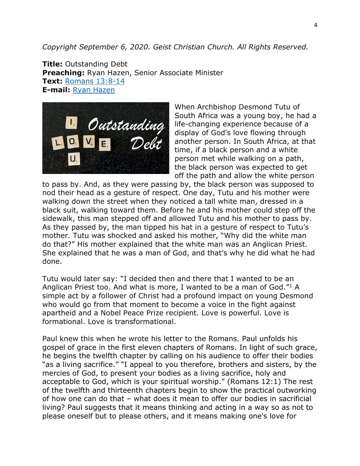*Copyright September 6, 2020. Geist Christian Church. All Rights Reserved.*

**Title:** Outstanding Debt **Preaching:** Ryan Hazen, Senior Associate Minister **Text:** [Romans 13:8-14](https://classic.biblegateway.com/passage/?search=Romans+13%3A8-14&version=NRSV) **E-mail:** [Ryan Hazen](mailto:ryan.hazen@geistchristian.org)



When Archbishop Desmond Tutu of South Africa was a young boy, he had a life-changing experience because of a display of God's love flowing through another person. In South Africa, at that time, if a black person and a white person met while walking on a path, the black person was expected to get off the path and allow the white person

to pass by. And, as they were passing by, the black person was supposed to nod their head as a gesture of respect. One day, Tutu and his mother were walking down the street when they noticed a tall white man, dressed in a black suit, walking toward them. Before he and his mother could step off the sidewalk, this man stepped off and allowed Tutu and his mother to pass by. As they passed by, the man tipped his hat in a gesture of respect to Tutu's mother. Tutu was shocked and asked his mother, "Why did the white man do that?" His mother explained that the white man was an Anglican Priest. She explained that he was a man of God, and that's why he did what he had done.

Tutu would later say: "I decided then and there that I wanted to be an Anglican Priest too. And what is more, I wanted to be a man of God."<sup>1</sup> A simple act by a follower of Christ had a profound impact on young Desmond who would go from that moment to become a voice in the fight against apartheid and a Nobel Peace Prize recipient. Love is powerful. Love is formational. Love is transformational.

Paul knew this when he wrote his letter to the Romans. Paul unfolds his gospel of grace in the first eleven chapters of Romans. In light of such grace, he begins the twelfth chapter by calling on his audience to offer their bodies "as a living sacrifice." "I appeal to you therefore, brothers and sisters, by the mercies of God, to present your bodies as a living sacrifice, holy and acceptable to God, which is your spiritual worship." (Romans 12:1) The rest of the twelfth and thirteenth chapters begin to show the practical outworking of how one can do that – what does it mean to offer our bodies in sacrificial living? Paul suggests that it means thinking and acting in a way so as not to please oneself but to please others, and it means making one's love for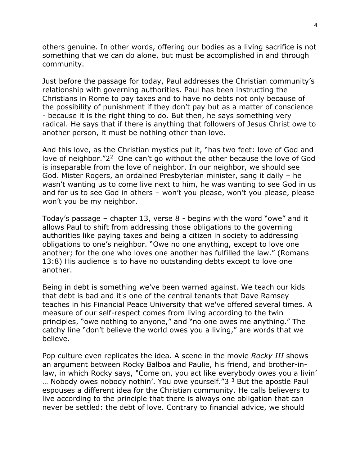others genuine. In other words, offering our bodies as a living sacrifice is not something that we can do alone, but must be accomplished in and through community.

Just before the passage for today, Paul addresses the Christian community's relationship with governing authorities. Paul has been instructing the Christians in Rome to pay taxes and to have no debts not only because of the possibility of punishment if they don't pay but as a matter of conscience - because it is the right thing to do. But then, he says something very radical. He says that if there is anything that followers of Jesus Christ owe to another person, it must be nothing other than love.

And this love, as the Christian mystics put it, "has two feet: love of God and love of neighbor."2<sup>2</sup> One can't go without the other because the love of God is inseparable from the love of neighbor. In our neighbor, we should see God. Mister Rogers, an ordained Presbyterian minister, sang it daily – he wasn't wanting us to come live next to him, he was wanting to see God in us and for us to see God in others – won't you please, won't you please, please won't you be my neighbor.

Today's passage – chapter 13, verse 8 - begins with the word "owe" and it allows Paul to shift from addressing those obligations to the governing authorities like paying taxes and being a citizen in society to addressing obligations to one's neighbor. "Owe no one anything, except to love one another; for the one who loves one another has fulfilled the law." (Romans 13:8) His audience is to have no outstanding debts except to love one another.

Being in debt is something we've been warned against. We teach our kids that debt is bad and it's one of the central tenants that Dave Ramsey teaches in his Financial Peace University that we've offered several times. A measure of our self-respect comes from living according to the twin principles, "owe nothing to anyone," and "no one owes me anything." The catchy line "don't believe the world owes you a living," are words that we believe.

Pop culture even replicates the idea. A scene in the movie *Rocky III* shows an argument between Rocky Balboa and Paulie, his friend, and brother-inlaw, in which Rocky says, "Come on, you act like everybody owes you a livin' ... Nobody owes nobody nothin'. You owe yourself." $3<sup>3</sup>$  But the apostle Paul espouses a different idea for the Christian community. He calls believers to live according to the principle that there is always one obligation that can never be settled: the debt of love. Contrary to financial advice, we should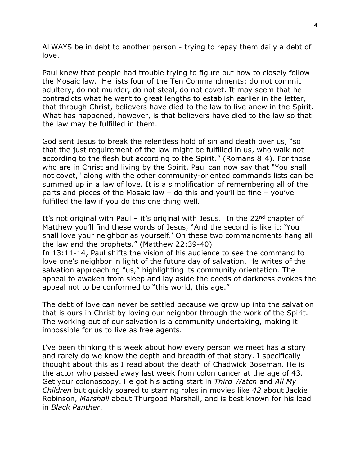ALWAYS be in debt to another person - trying to repay them daily a debt of love.

Paul knew that people had trouble trying to figure out how to closely follow the Mosaic law. He lists four of the Ten Commandments: do not commit adultery, do not murder, do not steal, do not covet. It may seem that he contradicts what he went to great lengths to establish earlier in the letter, that through Christ, believers have died to the law to live anew in the Spirit. What has happened, however, is that believers have died to the law so that the law may be fulfilled in them.

God sent Jesus to break the relentless hold of sin and death over us, "so that the just requirement of the law might be fulfilled in us, who walk not according to the flesh but according to the Spirit." (Romans 8:4). For those who are in Christ and living by the Spirit, Paul can now say that "You shall not covet," along with the other community-oriented commands lists can be summed up in a law of love. It is a simplification of remembering all of the parts and pieces of the Mosaic law – do this and you'll be fine – you've fulfilled the law if you do this one thing well.

It's not original with Paul – it's original with Jesus. In the  $22^{nd}$  chapter of Matthew you'll find these words of Jesus, "And the second is like it: 'You shall love your neighbor as yourself.' On these two commandments hang all the law and the prophets." (Matthew 22:39-40) In 13:11-14, Paul shifts the vision of his audience to see the command to

love one's neighbor in light of the future day of salvation. He writes of the salvation approaching "us," highlighting its community orientation. The appeal to awaken from sleep and lay aside the deeds of darkness evokes the appeal not to be conformed to "this world, this age."

The debt of love can never be settled because we grow up into the salvation that is ours in Christ by loving our neighbor through the work of the Spirit. The working out of our salvation is a community undertaking, making it impossible for us to live as free agents.

I've been thinking this week about how every person we meet has a story and rarely do we know the depth and breadth of that story. I specifically thought about this as I read about the death of Chadwick Boseman. He is the actor who passed away last week from colon cancer at the age of 43. Get your colonoscopy. He got his acting start in *Third Watch* and *All My Children* but quickly soared to starring roles in movies like *42* about Jackie Robinson, *Marshall* about Thurgood Marshall, and is best known for his lead in *Black Panther*.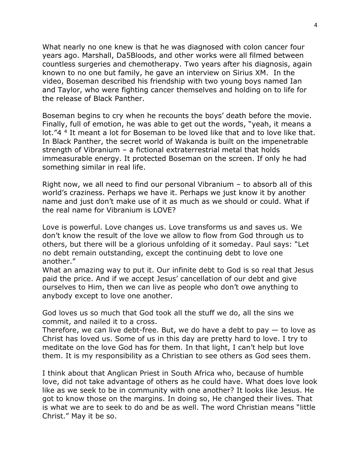What nearly no one knew is that he was diagnosed with colon cancer four years ago. Marshall, Da5Bloods, and other works were all filmed between countless surgeries and chemotherapy. Two years after his diagnosis, again known to no one but family, he gave an interview on Sirius XM. In the video, Boseman described his friendship with two young boys named Ian and Taylor, who were fighting cancer themselves and holding on to life for the release of Black Panther.

Boseman begins to cry when he recounts the boys' death before the movie. Finally, full of emotion, he was able to get out the words, "yeah, it means a lot."4<sup>4</sup> It meant a lot for Boseman to be loved like that and to love like that. In Black Panther, the secret world of Wakanda is built on the impenetrable strength of Vibranium – a fictional extraterrestrial metal that holds immeasurable energy. It protected Boseman on the screen. If only he had something similar in real life.

Right now, we all need to find our personal Vibranium – to absorb all of this world's craziness. Perhaps we have it. Perhaps we just know it by another name and just don't make use of it as much as we should or could. What if the real name for Vibranium is LOVE?

Love is powerful. Love changes us. Love transforms us and saves us. We don't know the result of the love we allow to flow from God through us to others, but there will be a glorious unfolding of it someday. Paul says: "Let no debt remain outstanding, except the continuing debt to love one another."

What an amazing way to put it. Our infinite debt to God is so real that Jesus paid the price. And if we accept Jesus' cancellation of our debt and give ourselves to Him, then we can live as people who don't owe anything to anybody except to love one another.

God loves us so much that God took all the stuff we do, all the sins we commit, and nailed it to a cross.

Therefore, we can live debt-free. But, we do have a debt to pay  $-$  to love as Christ has loved us. Some of us in this day are pretty hard to love. I try to meditate on the love God has for them. In that light, I can't help but love them. It is my responsibility as a Christian to see others as God sees them.

I think about that Anglican Priest in South Africa who, because of humble love, did not take advantage of others as he could have. What does love look like as we seek to be in community with one another? It looks like Jesus. He got to know those on the margins. In doing so, He changed their lives. That is what we are to seek to do and be as well. The word Christian means "little Christ." May it be so.